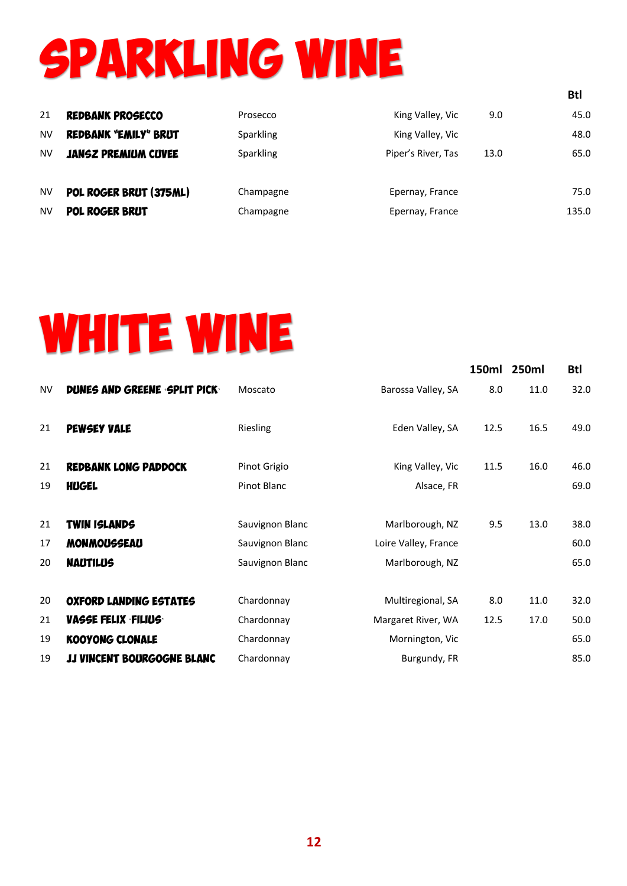## Sparkling Wine

| 21<br><b>NV</b><br><b>NV</b> | <b>REDBANK PROSECCO</b><br><b>REDBANK "EMILY" BRUT</b><br><b>JANSZ PREMIUM CUVEE</b> | Prosecco<br>Sparkling<br>Sparkling | King Valley, Vic<br>King Valley, Vic<br>Piper's River, Tas | 9.0<br>13.0 | 45.0<br>48.0<br>65.0 |
|------------------------------|--------------------------------------------------------------------------------------|------------------------------------|------------------------------------------------------------|-------------|----------------------|
| <b>NV</b>                    | POL ROGER BRUT (375ML)                                                               | Champagne                          | Epernay, France                                            |             | 75.0                 |
| <b>NV</b>                    | POL ROGER BRUT                                                                       | Champagne                          | Epernay, France                                            |             | 135.0                |

**Btl**

## WHITE WINE

|           |                                   |                 |                      |      | 150ml 250ml | <b>Btl</b> |
|-----------|-----------------------------------|-----------------|----------------------|------|-------------|------------|
| <b>NV</b> | DUNES AND GREENE SPLIT PICK       | Moscato         | Barossa Valley, SA   | 8.0  | 11.0        | 32.0       |
| 21        | <b>PEWSEY VALE</b>                | <b>Riesling</b> | Eden Valley, SA      | 12.5 | 16.5        | 49.0       |
| 21        | <b>REDBANK LONG PADDOCK</b>       | Pinot Grigio    | King Valley, Vic     | 11.5 | 16.0        | 46.0       |
| 19        | <b>HUGEL</b>                      | Pinot Blanc     | Alsace, FR           |      |             | 69.0       |
| 21        | <b>TWIN ISLANDS</b>               | Sauvignon Blanc | Marlborough, NZ      | 9.5  | 13.0        | 38.0       |
| 17        | <b>MONMOUSSEAU</b>                | Sauvignon Blanc | Loire Valley, France |      |             | 60.0       |
| 20        | <b>NAUTILUS</b>                   | Sauvignon Blanc | Marlborough, NZ      |      |             | 65.0       |
| 20        | <b>OXFORD LANDING ESTATES</b>     | Chardonnay      | Multiregional, SA    | 8.0  | 11.0        | 32.0       |
| 21        | <b>VASSE FELIX FILIUS</b>         | Chardonnay      | Margaret River, WA   | 12.5 | 17.0        | 50.0       |
| 19        | <b>KOOYONG CLONALE</b>            | Chardonnay      | Mornington, Vic      |      |             | 65.0       |
| 19        | <b>JJ VINCENT BOURGOGNE BLANC</b> | Chardonnay      | Burgundy, FR         |      |             | 85.0       |